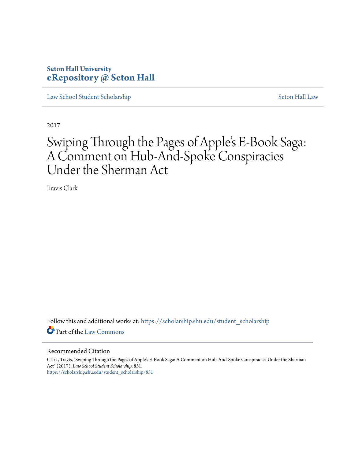## **Seton Hall University [eRepository @ Seton Hall](https://scholarship.shu.edu?utm_source=scholarship.shu.edu%2Fstudent_scholarship%2F851&utm_medium=PDF&utm_campaign=PDFCoverPages)**

[Law School Student Scholarship](https://scholarship.shu.edu/student_scholarship?utm_source=scholarship.shu.edu%2Fstudent_scholarship%2F851&utm_medium=PDF&utm_campaign=PDFCoverPages) [Seton Hall Law](https://scholarship.shu.edu/law?utm_source=scholarship.shu.edu%2Fstudent_scholarship%2F851&utm_medium=PDF&utm_campaign=PDFCoverPages)

2017

# Swiping Through the Pages of Apple's E-Book Saga: A Comment on Hub-And-Spoke Conspiracies Under the Sherman Act

Travis Clark

Follow this and additional works at: [https://scholarship.shu.edu/student\\_scholarship](https://scholarship.shu.edu/student_scholarship?utm_source=scholarship.shu.edu%2Fstudent_scholarship%2F851&utm_medium=PDF&utm_campaign=PDFCoverPages) Part of the [Law Commons](http://network.bepress.com/hgg/discipline/578?utm_source=scholarship.shu.edu%2Fstudent_scholarship%2F851&utm_medium=PDF&utm_campaign=PDFCoverPages)

#### Recommended Citation

Clark, Travis, "Swiping Through the Pages of Apple's E-Book Saga: A Comment on Hub-And-Spoke Conspiracies Under the Sherman Act" (2017). *Law School Student Scholarship*. 851. [https://scholarship.shu.edu/student\\_scholarship/851](https://scholarship.shu.edu/student_scholarship/851?utm_source=scholarship.shu.edu%2Fstudent_scholarship%2F851&utm_medium=PDF&utm_campaign=PDFCoverPages)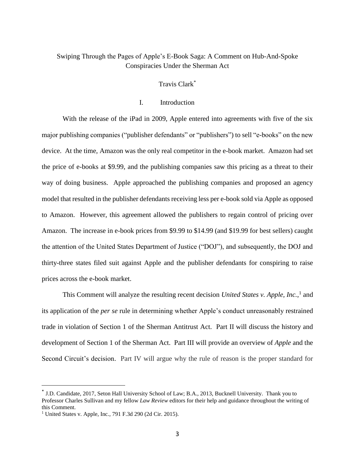## Swiping Through the Pages of Apple's E-Book Saga: A Comment on Hub-And-Spoke Conspiracies Under the Sherman Act

## Travis Clark\*

#### I. Introduction

With the release of the iPad in 2009, Apple entered into agreements with five of the six major publishing companies ("publisher defendants" or "publishers") to sell "e-books" on the new device. At the time, Amazon was the only real competitor in the e-book market. Amazon had set the price of e-books at \$9.99, and the publishing companies saw this pricing as a threat to their way of doing business. Apple approached the publishing companies and proposed an agency model that resulted in the publisher defendants receiving less per e-book sold via Apple as opposed to Amazon. However, this agreement allowed the publishers to regain control of pricing over Amazon. The increase in e-book prices from \$9.99 to \$14.99 (and \$19.99 for best sellers) caught the attention of the United States Department of Justice ("DOJ"), and subsequently, the DOJ and thirty-three states filed suit against Apple and the publisher defendants for conspiring to raise prices across the e-book market.

This Comment will analyze the resulting recent decision *United States v. Apple, Inc.*, 1 and its application of the *per se* rule in determining whether Apple's conduct unreasonably restrained trade in violation of Section 1 of the Sherman Antitrust Act. Part II will discuss the history and development of Section 1 of the Sherman Act. Part III will provide an overview of *Apple* and the Second Circuit's decision. Part IV will argue why the rule of reason is the proper standard for

<sup>\*</sup> J.D. Candidate, 2017, Seton Hall University School of Law; B.A., 2013, Bucknell University. Thank you to Professor Charles Sullivan and my fellow *Law Review* editors for their help and guidance throughout the writing of this Comment.

<sup>1</sup> United States v. Apple, Inc*.*, 791 F.3d 290 (2d Cir. 2015).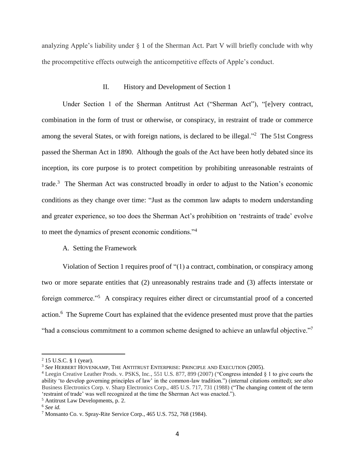analyzing Apple's liability under  $\S$  1 of the Sherman Act. Part V will briefly conclude with why the procompetitive effects outweigh the anticompetitive effects of Apple's conduct.

#### II. History and Development of Section 1

Under Section 1 of the Sherman Antitrust Act ("Sherman Act"), "[e]very contract, combination in the form of trust or otherwise, or conspiracy, in restraint of trade or commerce among the several States, or with foreign nations, is declared to be illegal. $\frac{1}{2}$  The 51st Congress passed the Sherman Act in 1890. Although the goals of the Act have been hotly debated since its inception, its core purpose is to protect competition by prohibiting unreasonable restraints of trade.<sup>3</sup> The Sherman Act was constructed broadly in order to adjust to the Nation's economic conditions as they change over time: "Just as the common law adapts to modern understanding and greater experience, so too does the Sherman Act's prohibition on 'restraints of trade' evolve to meet the dynamics of present economic conditions."<sup>4</sup>

#### A. Setting the Framework

Violation of Section 1 requires proof of "(1) a contract, combination, or conspiracy among two or more separate entities that (2) unreasonably restrains trade and (3) affects interstate or foreign commerce."<sup>5</sup> A conspiracy requires either direct or circumstantial proof of a concerted action.<sup>6</sup> The Supreme Court has explained that the evidence presented must prove that the parties "had a conscious commitment to a common scheme designed to achieve an unlawful objective."<sup>7</sup>

 $2$  15 U.S.C. § 1 (year).

<sup>3</sup> *See* HERBERT HOVENKAMP, THE ANTITRUST ENTERPRISE: PRINCIPLE AND EXECUTION (2005).

<sup>4</sup> Leegin Creative Leather Prods. v. PSKS, Inc*.*, 551 U.S. 877, 899 (2007) ("Congress intended § 1 to give courts the ability 'to develop governing principles of law' in the common-law tradition.") (internal citations omitted); *see also* Business Electronics Corp. v. Sharp Electronics Corp., 485 U.S. 717, 731 (1988) ("The changing content of the term 'restraint of trade' was well recognized at the time the Sherman Act was enacted.").

<sup>5</sup> Antitrust Law Developments, p. 2.

<sup>6</sup> *See id.*

<sup>7</sup> Monsanto Co. v. Spray-Rite Service Corp., 465 U.S. 752, 768 (1984).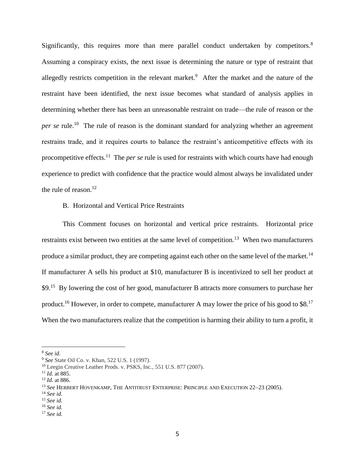Significantly, this requires more than mere parallel conduct undertaken by competitors.<sup>8</sup> Assuming a conspiracy exists, the next issue is determining the nature or type of restraint that allegedly restricts competition in the relevant market.<sup>9</sup> After the market and the nature of the restraint have been identified, the next issue becomes what standard of analysis applies in determining whether there has been an unreasonable restraint on trade—the rule of reason or the per se rule.<sup>10</sup> The rule of reason is the dominant standard for analyzing whether an agreement restrains trade, and it requires courts to balance the restraint's anticompetitive effects with its procompetitive effects.<sup>11</sup> The *per se* rule is used for restraints with which courts have had enough experience to predict with confidence that the practice would almost always be invalidated under the rule of reason. $^{12}$ 

#### B. Horizontal and Vertical Price Restraints

This Comment focuses on horizontal and vertical price restraints. Horizontal price restraints exist between two entities at the same level of competition.<sup>13</sup> When two manufacturers produce a similar product, they are competing against each other on the same level of the market.<sup>14</sup> If manufacturer A sells his product at \$10, manufacturer B is incentivized to sell her product at \$9.<sup>15</sup> By lowering the cost of her good, manufacturer B attracts more consumers to purchase her product.<sup>16</sup> However, in order to compete, manufacturer A may lower the price of his good to \$8.<sup>17</sup> When the two manufacturers realize that the competition is harming their ability to turn a profit, it

<sup>8</sup> *See id.*

<sup>9</sup> *See* State Oil Co. v. Khan, 522 U.S. 1 (1997).

<sup>10</sup> Leegin Creative Leather Prods. v. PSKS, Inc*.*, 551 U.S. 877 (2007).

<sup>11</sup> *Id.* at 885.

<sup>12</sup> *Id.* at 886.

<sup>&</sup>lt;sup>13</sup> See HERBERT HOVENKAMP, THE ANTITRUST ENTERPRISE: PRINCIPLE AND EXECUTION 22-23 (2005).

<sup>14</sup> *See id.*

<sup>15</sup> *See id.*

<sup>16</sup> *See id.*

<sup>17</sup> *See id.*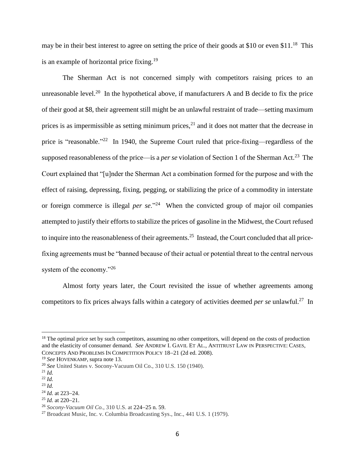may be in their best interest to agree on setting the price of their goods at \$10 or even \$11.<sup>18</sup> This is an example of horizontal price fixing.<sup>19</sup>

The Sherman Act is not concerned simply with competitors raising prices to an unreasonable level.<sup>20</sup> In the hypothetical above, if manufacturers A and B decide to fix the price of their good at \$8, their agreement still might be an unlawful restraint of trade—setting maximum prices is as impermissible as setting minimum prices, $^{21}$  and it does not matter that the decrease in price is "reasonable."<sup>22</sup> In 1940, the Supreme Court ruled that price-fixing—regardless of the supposed reasonableness of the price—is a *per se* violation of Section 1 of the Sherman Act.<sup>23</sup> The Court explained that "[u]nder the Sherman Act a combination formed for the purpose and with the effect of raising, depressing, fixing, pegging, or stabilizing the price of a commodity in interstate or foreign commerce is illegal *per se*."<sup>24</sup> When the convicted group of major oil companies attempted to justify their efforts to stabilize the prices of gasoline in the Midwest, the Court refused to inquire into the reasonableness of their agreements.<sup>25</sup> Instead, the Court concluded that all pricefixing agreements must be "banned because of their actual or potential threat to the central nervous system of the economy."<sup>26</sup>

Almost forty years later, the Court revisited the issue of whether agreements among competitors to fix prices always falls within a category of activities deemed *per se* unlawful.<sup>27</sup> In

<sup>&</sup>lt;sup>18</sup> The optimal price set by such competitors, assuming no other competitors, will depend on the costs of production and the elasticity of consumer demand. *See* ANDREW I. GAVIL ET AL., ANTITRUST LAW IN PERSPECTIVE: CASES, CONCEPTS AND PROBLEMS IN COMPETITION POLICY 18-21 (2d ed. 2008).

<sup>19</sup> *See* HOVENKAMP, supra note 13.

<sup>20</sup> *See* United States v. Socony-Vacuum Oil Co., 310 U.S. 150 (1940).

<sup>21</sup> *Id.*

<sup>22</sup> *Id.*

<sup>23</sup> *Id.*

 $^{24}$  *Id.* at 223–24.

 $25$  *Id.* at 220–21.

<sup>&</sup>lt;sup>26</sup> *Socony-Vacuum Oil Co.*, 310 U.S. at 224-25 n. 59.

<sup>27</sup> Broadcast Music, Inc. v. Columbia Broadcasting Sys., Inc., 441 U.S. 1 (1979).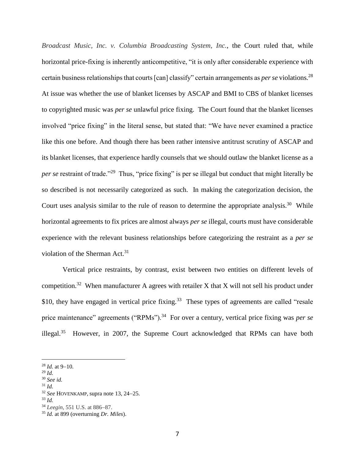*Broadcast Music, Inc. v. Columbia Broadcasting System, Inc.*, the Court ruled that, while horizontal price-fixing is inherently anticompetitive, "it is only after considerable experience with certain business relationships that courts [can] classify" certain arrangements as *per se* violations.<sup>28</sup> At issue was whether the use of blanket licenses by ASCAP and BMI to CBS of blanket licenses to copyrighted music was *per se* unlawful price fixing. The Court found that the blanket licenses involved "price fixing" in the literal sense, but stated that: "We have never examined a practice like this one before. And though there has been rather intensive antitrust scrutiny of ASCAP and its blanket licenses, that experience hardly counsels that we should outlaw the blanket license as a per se restraint of trade."<sup>29</sup> Thus, "price fixing" is per se illegal but conduct that might literally be so described is not necessarily categorized as such. In making the categorization decision, the Court uses analysis similar to the rule of reason to determine the appropriate analysis.<sup>30</sup> While horizontal agreements to fix prices are almost always *per se* illegal, courts must have considerable experience with the relevant business relationships before categorizing the restraint as a *per se* violation of the Sherman Act.<sup>31</sup>

Vertical price restraints, by contrast, exist between two entities on different levels of competition.<sup>32</sup> When manufacturer A agrees with retailer X that X will not sell his product under \$10, they have engaged in vertical price fixing.<sup>33</sup> These types of agreements are called "resale" price maintenance" agreements ("RPMs").<sup>34</sup> For over a century, vertical price fixing was *per se* illegal. $35$  However, in 2007, the Supreme Court acknowledged that RPMs can have both

- <sup>30</sup> *See id.*
- <sup>31</sup> *Id.*

 $28$  *Id.* at 9-10.

<sup>29</sup> *Id.*

<sup>&</sup>lt;sup>32</sup> *See* HOVENKAMP, supra note 13, 24–25.

<sup>33</sup> *Id.*

<sup>&</sup>lt;sup>34</sup> *Leegin*, 551 U.S. at 886–87.

<sup>35</sup> *Id.* at 899 (overturning *Dr. Miles*).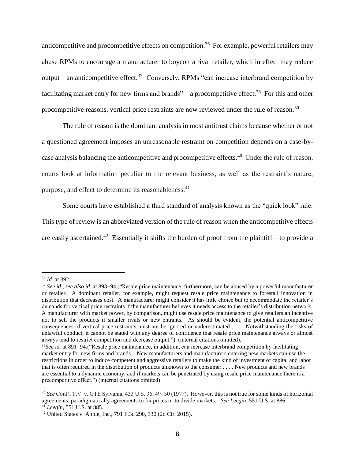anticompetitive and procompetitive effects on competition.<sup>36</sup> For example, powerful retailers may abuse RPMs to encourage a manufacturer to boycott a rival retailer, which in effect may reduce output—an anticompetitive effect.<sup>37</sup> Conversely, RPMs "can increase interbrand competition by facilitating market entry for new firms and brands"—a procompetitive effect.<sup>38</sup> For this and other procompetitive reasons, vertical price restraints are now reviewed under the rule of reason.<sup>39</sup>

The rule of reason is the dominant analysis in most antitrust claims because whether or not a questioned agreement imposes an unreasonable restraint on competition depends on a case-bycase analysis balancing the anticompetitive and procompetitive effects.<sup>40</sup> Under the rule of reason, courts look at information peculiar to the relevant business, as well as the restraint's nature, purpose, and effect to determine its reasonableness.<sup>41</sup>

Some courts have established a third standard of analysis known as the "quick look" rule. This type of review is an abbreviated version of the rule of reason when the anticompetitive effects are easily ascertained.<sup>42</sup> Essentially it shifts the burden of proof from the plaintiff—to provide a

 $\overline{a}$ <sup>36</sup> *Id.* at 892.

<sup>&</sup>lt;sup>37</sup> See id.; see also id. at 893-94 ("Resale price maintenance, furthermore, can be abused by a powerful manufacturer or retailer. A dominant retailer, for example, might request resale price maintenance to forestall innovation in distribution that decreases cost. A manufacturer might consider it has little choice but to accommodate the retailer's demands for vertical price restraints if the manufacturer believes it needs access to the retailer's distribution network. A manufacturer with market power, by comparison, might use resale price maintenance to give retailers an incentive not to sell the products if smaller rivals or new entrants. As should be evident, the potential anticompetitive consequences of vertical price restraints must not be ignored or underestimated . . . . Notwithstanding the risks of unlawful conduct, it cannot be stated with any degree of confidence that resale price maintenance always or almost always tend to restrict competition and decrease output."). (internal citations omitted).

<sup>&</sup>lt;sup>38</sup>See *id.* at 891–94.("Resale price maintenance, in addition, can increase interbrand competition by facilitating market entry for new firms and brands. New manufacturers and manufacturers entering new markets can use the restrictions in order to induce competent and aggressive retailers to make the kind of investment of capital and labor that is often required in the distribution of products unknown to the consumer . . . . New products and new brands are essential to a dynamic economy, and if markets can be penetrated by using resale price maintenance there is a precompetitive effect.") (internal citations omitted).

<sup>&</sup>lt;sup>40</sup> See Cont'l T.V. v. GTE Sylvania, 433 U.S. 36, 49–50 (1977). However, this is not true for some kinds of horizontal agreements, paradigmatically agreements to fix prices or to divide markets. *See Leegin*, 551 U.S. at 886. <sup>41</sup> *Leegin*, 551 U.S. at 885.

<sup>42</sup> United States v. Apple, Inc*.*, 791 F.3d 290, 330 (2d Cir. 2015).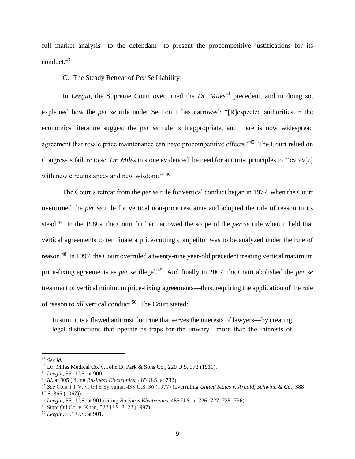full market analysis—to the defendant—to present the procompetitive justifications for its conduct. 43

#### C. The Steady Retreat of *Per Se* Liability

In *Leegin*, the Supreme Court overturned the *Dr. Miles*<sup>44</sup> precedent, and in doing so, explained how the *per se* rule under Section 1 has narrowed: "[R]espected authorities in the economics literature suggest the *per se* rule is inappropriate, and there is now widespread agreement that resale price maintenance can have procompetitive effects."<sup>45</sup> The Court relied on Congress's failure to set *Dr. Miles* in stone evidenced the need for antitrust principles to "'evolv[e] with new circumstances and new wisdom."<sup>46</sup>

The Court's retreat from the *per se* rule for vertical conduct began in 1977, when the Court overturned the *per se* rule for vertical non-price restraints and adopted the rule of reason in its stead.<sup>47</sup> In the 1980s, the Court further narrowed the scope of the *per se* rule when it held that vertical agreements to terminate a price-cutting competitor was to be analyzed under the rule of reason.<sup>48</sup> In 1997, the Court overruled a twenty-nine year-old precedent treating vertical maximum price-fixing agreements as *per se* illegal.<sup>49</sup> And finally in 2007, the Court abolished the *per se* treatment of vertical minimum price-fixing agreements—thus, requiring the application of the rule of reason to *all* vertical conduct.<sup>50</sup> The Court stated:

In sum, it is a flawed antitrust doctrine that serves the interests of lawyers—by creating legal distinctions that operate as traps for the unwary—more than the interests of

<sup>43</sup> *See id.*

<sup>44</sup> Dr. Miles Medical Co. v. John D. Park & Sons Co., 220 U.S. 373 (1911).

<sup>45</sup> *Leegin*, 551 U.S. at 900.

<sup>46</sup> *Id.* at 905 (citing *Business Electronics*, 485 U.S. at 732).

<sup>47</sup> *See* Cont'l T.V. v. GTE Sylvania, 433 U.S. 36 (1977) (overruling *United States v. Arnold, Schwinn & Co.*, 388 U.S. 365 (1967)).

<sup>&</sup>lt;sup>48</sup> *Leegin*, 551 U.S. at 901 (citing *Business Electronics*, 485 U.S. at 726–727, 735–736).

<sup>49</sup> State Oil Co. v. Khan, 522 U.S. 3, 22 (1997).

<sup>50</sup> *Leegin*, 551 U.S. at 901.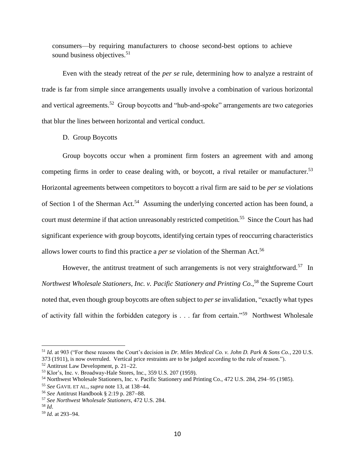consumers—by requiring manufacturers to choose second-best options to achieve sound business objectives.<sup>51</sup>

Even with the steady retreat of the *per se* rule, determining how to analyze a restraint of trade is far from simple since arrangements usually involve a combination of various horizontal and vertical agreements.<sup>52</sup> Group boycotts and "hub-and-spoke" arrangements are two categories that blur the lines between horizontal and vertical conduct.

D. Group Boycotts

Group boycotts occur when a prominent firm fosters an agreement with and among competing firms in order to cease dealing with, or boycott, a rival retailer or manufacturer.<sup>53</sup> Horizontal agreements between competitors to boycott a rival firm are said to be *per se* violations of Section 1 of the Sherman Act.<sup>54</sup> Assuming the underlying concerted action has been found, a court must determine if that action unreasonably restricted competition.<sup>55</sup> Since the Court has had significant experience with group boycotts, identifying certain types of reoccurring characteristics allows lower courts to find this practice a *per se* violation of the Sherman Act.<sup>56</sup>

However, the antitrust treatment of such arrangements is not very straightforward.<sup>57</sup> In *Northwest Wholesale Stationers, Inc. v. Pacific Stationery and Printing Co.*, <sup>58</sup> the Supreme Court noted that, even though group boycotts are often subject to *per se* invalidation, "exactly what types of activity fall within the forbidden category is . . . far from certain."<sup>59</sup> Northwest Wholesale

<sup>51</sup> *Id.* at 903 ("For these reasons the Court's decision in *Dr. Miles Medical Co. v. John D. Park & Sons Co.*, 220 U.S. 373 (1911), is now overruled. Vertical price restraints are to be judged according to the rule of reason.").

 $52$  Antitrust Law Development, p. 21–22.

<sup>53</sup> Klor's, Inc. v. Broadway-Hale Stores, Inc., 359 U.S. 207 (1959).

<sup>54</sup> Northwest Wholesale Stationers, Inc. v. Pacific Stationery and Printing Co., 472 U.S. 284, 294–95 (1985).

<sup>&</sup>lt;sup>55</sup> *See* GAVIL ET AL., *supra* note 13, at 138–44.

<sup>&</sup>lt;sup>56</sup> *See* Antitrust Handbook § 2:19 p. 287–88.

<sup>57</sup> *See Northwest Wholesale Stationers*, 472 U.S. 284.

<sup>58</sup> *Id*.

<sup>&</sup>lt;sup>59</sup> *Id.* at 293-94.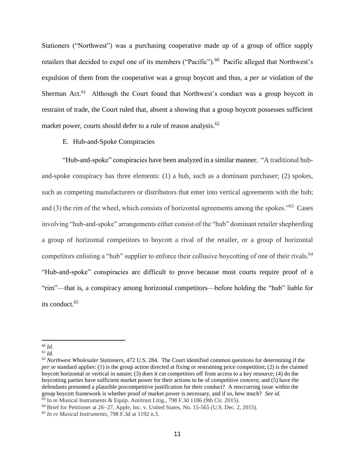Stationers ("Northwest") was a purchasing cooperative made up of a group of office supply retailers that decided to expel one of its members ("Pacific").<sup>60</sup> Pacific alleged that Northwest's expulsion of them from the cooperative was a group boycott and thus, a *per se* violation of the Sherman Act.<sup>61</sup> Although the Court found that Northwest's conduct was a group boycott in restraint of trade, the Court ruled that, absent a showing that a group boycott possesses sufficient market power, courts should defer to a rule of reason analysis.<sup>62</sup>

#### E. Hub-and-Spoke Conspiracies

"Hub-and-spoke" conspiracies have been analyzed in a similar manner. "A traditional huband-spoke conspiracy has three elements: (1) a hub, such as a dominant purchaser; (2) spokes, such as competing manufacturers or distributors that enter into vertical agreements with the hub; and (3) the rim of the wheel, which consists of horizontal agreements among the spokes."<sup>63</sup> Cases involving "hub-and-spoke" arrangements either consist of the "hub" dominant retailer shepherding a group of horizontal competitors to boycott a rival of the retailer, or a group of horizontal competitors enlisting a "hub" supplier to enforce their collusive boycotting of one of their rivals.<sup>64</sup> "Hub-and-spoke" conspiracies are difficult to prove because most courts require proof of a "rim"—that is, a conspiracy among horizontal competitors—before holding the "hub" liable for its conduct. 65

 $\overline{a}$ <sup>60</sup> *Id.*

<sup>61</sup> *Id.*

<sup>62</sup> *Northwest Wholesaler Stationers*, 472 U.S. 284. The Court identified common questions for determining if the *per se* standard applies: (1) is the group action directed at fixing or restraining price competition; (2) is the claimed boycott horizontal or vertical in nature; (3) does it cut competitors off from access to a key resource; (4) do the boycotting parties have sufficient market power for their actions to be of competitive concern; and (5) have the defendants presented a plausible procompetitive justification for their conduct? A reoccurring issue within the group boycott framework is whether proof of market power is necessary, and if so, how much? *See id.*  <sup>63</sup> In re Musical Instruments & Equip. Antitrust Litig., 798 F.3d 1186 (9th Cir. 2015).

<sup>&</sup>lt;sup>64</sup> Brief for Petitioner at 26-27, Apple, Inc. v. United States, No. 15-565 (U.S. Dec. 2, 2015).

<sup>65</sup> *In re Musical Instruments*, 798 F.3d at 1192 n.3.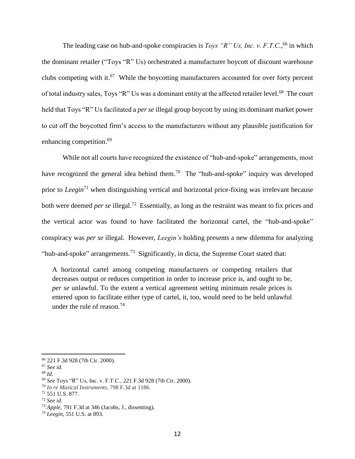The leading case on hub-and-spoke conspiracies is *Toys* " $R$ " Us, Inc. v. F.T.C.,<sup>66</sup> in which the dominant retailer ("Toys "R" Us) orchestrated a manufacturer boycott of discount warehouse clubs competing with it. $67$  While the boycotting manufacturers accounted for over forty percent of total industry sales, Toys "R" Us was a dominant entity at the affected retailer level.<sup>68</sup> The court held that Toys "R" Us facilitated a *per se* illegal group boycott by using its dominant market power to cut off the boycotted firm's access to the manufacturers without any plausible justification for enhancing competition.<sup>69</sup>

While not all courts have recognized the existence of "hub-and-spoke" arrangements, most have recognized the general idea behind them.<sup>70</sup> The "hub-and-spoke" inquiry was developed prior to *Leegin*<sup>71</sup> when distinguishing vertical and horizontal price-fixing was irrelevant because both were deemed *per se* illegal.<sup>72</sup> Essentially, as long as the restraint was meant to fix prices and the vertical actor was found to have facilitated the horizontal cartel, the "hub-and-spoke" conspiracy was *per se* illegal. However, *Leegin's* holding presents a new dilemma for analyzing "hub-and-spoke" arrangements.<sup>73</sup> Significantly, in dicta, the Supreme Court stated that:

A horizontal cartel among competing manufacturers or competing retailers that decreases output or reduces competition in order to increase price is, and ought to be, *per se* unlawful. To the extent a vertical agreement setting minimum resale prices is entered upon to facilitate either type of cartel, it, too, would need to be held unlawful under the rule of reason.<sup>74</sup>

<sup>66</sup> 221 F.3d 928 (7th Cir. 2000).

<sup>67</sup> *See id.*

<sup>68</sup> *Id.*

<sup>69</sup> *See* Toys "R" Us, Inc. v. F.T.C., 221 F.3d 928 (7th Cir. 2000).

<sup>70</sup> *In re Musical Instruments*, 798 F.3d at 1186.

<sup>71</sup> 551 U.S. 877.

<sup>72</sup> *See id.*

<sup>73</sup> *Apple*, 791 F.3d at 346 (Jacobs, J., dissenting).

<sup>74</sup> *Leegin*, 551 U.S. at 893.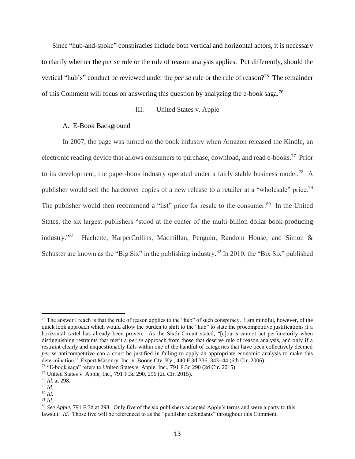Since "hub-and-spoke" conspiracies include both vertical and horizontal actors, it is necessary to clarify whether the *per se* rule or the rule of reason analysis applies. Put differently, should the vertical "hub's" conduct be reviewed under the *per se* rule or the rule of reason?<sup>75</sup> The remainder of this Comment will focus on answering this question by analyzing the e-book saga.<sup>76</sup>

## III. United States v. Apple

#### A. E-Book Background

In 2007, the page was turned on the book industry when Amazon released the Kindle, an electronic reading device that allows consumers to purchase, download, and read e-books.<sup>77</sup> Prior to its development, the paper-book industry operated under a fairly stable business model.<sup>78</sup> A publisher would sell the hardcover copies of a new release to a retailer at a "wholesale" price.<sup>79</sup> The publisher would then recommend a "list" price for resale to the consumer.<sup>80</sup> In the United States, the six largest publishers "stood at the center of the multi-billion dollar book-producing industry."<sup>81</sup> Hachette, HarperCollins, Macmillan, Penguin, Random House, and Simon & Schuster are known as the "Big Six" in the publishing industry.<sup>82</sup> In 2010, the "Bix Six" published

 $75$  The answer I reach is that the rule of reason applies to the "hub" of such conspiracy. I am mindful, however, of the quick look approach which would allow the burden to shift to the "hub" to state the procompetitive justifications if a horizontal cartel has already been proven. As the Sixth Circuit stated, "[c]ourts cannot act perfunctorily when distinguishing restraints that merit a *per se* approach from those that deserve rule of reason analysis, and only if a restraint clearly and unquestionably falls within one of the handful of categories that have been collectively deemed *per se* anticompetitive can a court be justified in failing to apply an appropriate economic analysis to make this determination." Expert Masonry, Inc. v. Boone Cty, Ky.,  $440$  F.3d 336,  $343-44$  (6th Cir. 2006).

<sup>76</sup> "E-book saga" refers to United States v. Apple, Inc*.*, 791 F.3d 290 (2d Cir. 2015).

<sup>77</sup> United States v. Apple, Inc*.*, 791 F.3d 290, 296 (2d Cir. 2015).

<sup>78</sup> *Id.* at 298.

<sup>79</sup> *Id*.

<sup>80</sup> *Id.*

<sup>81</sup> *Id.*

<sup>82</sup> *See Apple*, 791 F.3d at 298. Only five of the six publishers accepted Apple's terms and were a party to this lawsuit. *Id.* Those five will be referenced to as the "publisher defendants" throughout this Comment.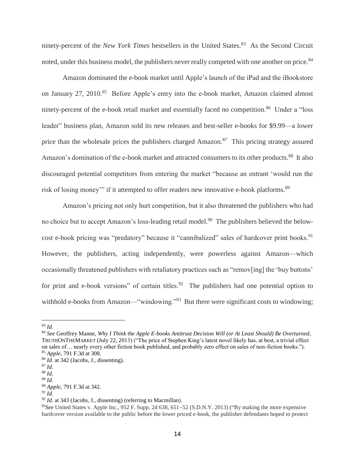ninety-percent of the *New York Times* bestsellers in the United States.<sup>83</sup> As the Second Circuit noted, under this business model, the publishers never really competed with one another on price.<sup>84</sup>

Amazon dominated the e-book market until Apple's launch of the iPad and the iBookstore on January 27, 2010.<sup>85</sup> Before Apple's entry into the e-book market, Amazon claimed almost ninety-percent of the e-book retail market and essentially faced no competition.<sup>86</sup> Under a "loss" leader" business plan, Amazon sold its new releases and best-seller e-books for \$9.99—a lower price than the wholesale prices the publishers charged Amazon.<sup>87</sup> This pricing strategy assured Amazon's domination of the e-book market and attracted consumers to its other products.<sup>88</sup> It also discouraged potential competitors from entering the market "because an entrant 'would run the risk of losing money'" if it attempted to offer readers new innovative e-book platforms.<sup>89</sup>

Amazon's pricing not only hurt competition, but it also threatened the publishers who had no choice but to accept Amazon's loss-leading retail model.<sup>90</sup> The publishers believed the belowcost e-book pricing was "predatory" because it "cannibalized" sales of hardcover print books.<sup>91</sup> However, the publishers, acting independently, were powerless against Amazon—which occasionally threatened publishers with retaliatory practices such as "remov[ing] the 'buy buttons' for print and e-book versions" of certain titles.<sup>92</sup> The publishers had one potential option to withhold e-books from Amazon—"windowing."<sup>93</sup> But there were significant costs to windowing;

<sup>83</sup> *Id.*

<sup>84</sup> *See* Geoffrey Manne, *Why I Think the Apple E-books Antitrust Decision Will (or At Least Should) Be Overturned*, TRUTHONTHEMARKET (July 22, 2013) ("The price of Stephen King's latest novel likely has, at best, a trivial effect on sales of… nearly every other fiction book published, and probably zero effect on sales of non-fiction books."). <sup>85</sup> *Apple*, 791 F.3d at 308.

<sup>86</sup> *Id.* at 342 (Jacobs, J., dissenting).

<sup>87</sup> *Id.*

<sup>88</sup> *Id.*

<sup>89</sup> *Id.*

<sup>90</sup> *Apple*, 791 F.3d at 342.

<sup>91</sup> *Id.*

<sup>92</sup> *Id.* at 343 (Jacobs, J., dissenting) (referring to Macmillan).

<sup>&</sup>lt;sup>93</sup>See United States v. Apple Inc., 952 F. Supp. 2d 638, 651–52 (S.D.N.Y. 2013) ("By making the more expensive hardcover version available to the public before the lower priced e-book, the publisher defendants hoped to protect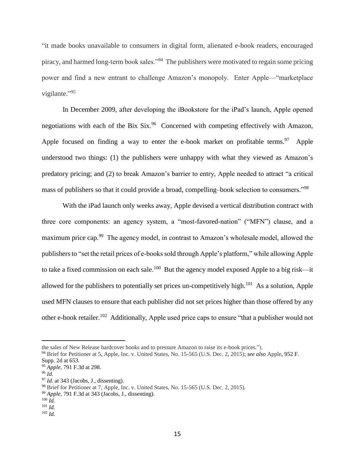"it made books unavailable to consumers in digital form, alienated e-book readers, encouraged piracy, and harmed long-term book sales."<sup>94</sup> The publishers were motivated to regain some pricing power and find a new entrant to challenge Amazon's monopoly. Enter Apple—"marketplace vigilante."<sup>95</sup>

In December 2009, after developing the iBookstore for the iPad's launch, Apple opened negotiations with each of the Bix Six.<sup>96</sup> Concerned with competing effectively with Amazon, Apple focused on finding a way to enter the e-book market on profitable terms.<sup>97</sup> Apple understood two things: (1) the publishers were unhappy with what they viewed as Amazon's predatory pricing; and (2) to break Amazon's barrier to entry, Apple needed to attract "a critical mass of publishers so that it could provide a broad, compelling–book selection to consumers."<sup>98</sup>

With the iPad launch only weeks away, Apple devised a vertical distribution contract with three core components: an agency system, a "most-favored-nation" ("MFN") clause, and a maximum price cap.<sup>99</sup> The agency model, in contrast to Amazon's wholesale model, allowed the publishers to "set the retail prices of e-books sold through Apple's platform," while allowing Apple to take a fixed commission on each sale.<sup>100</sup> But the agency model exposed Apple to a big risk—it allowed for the publishers to potentially set prices un-competitively high.<sup>101</sup> As a solution, Apple used MFN clauses to ensure that each publisher did not set prices higher than those offered by any other e-book retailer.<sup>102</sup> Additionally, Apple used price caps to ensure "that a publisher would not

the sales of New Release hardcover books and to pressure Amazon to raise its e-book prices.").

<sup>94</sup> Brief for Petitioner at 5, Apple, Inc. v. United States, No. 15-565 (U.S. Dec. 2, 2015); *see also* Apple, 952 F. Supp. 2d at 653.

<sup>95</sup> *Apple*, 791 F.3d at 298.

<sup>96</sup> *Id.*

<sup>97</sup> *Id.* at 343 (Jacobs, J., dissenting).

<sup>98</sup> Brief for Petitioner at 7, Apple, Inc. v. United States, No. 15-565 (U.S. Dec. 2, 2015).

<sup>99</sup> *Apple*, 791 F.3d at 343 (Jacobs, J., dissenting).

<sup>100</sup> *Id.*

<sup>101</sup> *Id.*

<sup>102</sup> *Id.*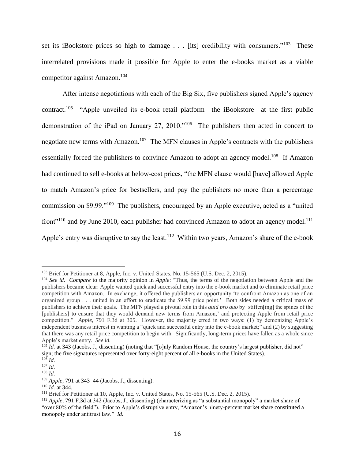set its iBookstore prices so high to damage  $\ldots$  [its] credibility with consumers."<sup>103</sup> These interrelated provisions made it possible for Apple to enter the e-books market as a viable competitor against Amazon. 104

After intense negotiations with each of the Big Six, five publishers signed Apple's agency contract.<sup>105</sup> "Apple unveiled its e-book retail platform—the iBookstore—at the first public demonstration of the iPad on January 27, 2010."<sup>106</sup> The publishers then acted in concert to negotiate new terms with Amazon.<sup>107</sup> The MFN clauses in Apple's contracts with the publishers essentially forced the publishers to convince Amazon to adopt an agency model.<sup>108</sup> If Amazon had continued to sell e-books at below-cost prices, "the MFN clause would [have] allowed Apple to match Amazon's price for bestsellers, and pay the publishers no more than a percentage commission on \$9.99."<sup>109</sup> The publishers, encouraged by an Apple executive, acted as a "united front<sup> $110$ </sup> and by June 2010, each publisher had convinced Amazon to adopt an agency model.<sup>111</sup> Apple's entry was disruptive to say the least.<sup>112</sup> Within two years, Amazon's share of the e-book

<sup>&</sup>lt;sup>103</sup> Brief for Petitioner at 8, Apple, Inc. v. United States, No. 15-565 (U.S. Dec. 2, 2015).

<sup>104</sup> *See id. Compare* to the majority opinion in *Apple*: "Thus, the terms of the negotiation between Apple and the publishers became clear: Apple wanted quick and successful entry into the e-book market and to eliminate retail price competition with Amazon. In exchange, it offered the publishers an opportunity 'to confront Amazon as one of an organized group . . . united in an effort to eradicate the \$9.99 price point.' Both sides needed a critical mass of publishers to achieve their goals. The MFN played a pivotal role in this *quid pro quo* by 'stiffen[ing] the spines of the [publishers] to ensure that they would demand new terms from Amazon,' and protecting Apple from retail price competition." *Apple*, 791 F.3d at 305. However, the majority erred in two ways: (1) by demonizing Apple's independent business interest in wanting a "quick and successful entry into the e-book market;" and (2) by suggesting that there was any retail price competition to begin with. Significantly, long-term prices have fallen as a whole since Apple's market entry. *See id.*

<sup>&</sup>lt;sup>105</sup> *Id.* at 343 (Jacobs, J., dissenting) (noting that "[o]nly Random House, the country's largest publisher, did not" sign; the five signatures represented over forty-eight percent of all e-books in the United States).

<sup>106</sup> *Id.*

<sup>107</sup> *Id.*

<sup>108</sup> *Id.*

<sup>&</sup>lt;sup>109</sup> *Apple*, 791 at 343–44 (Jacobs, J., dissenting).

<sup>110</sup> *Id.* at 344.

<sup>&</sup>lt;sup>111</sup> Brief for Petitioner at 10, Apple, Inc. v. United States, No. 15-565 (U.S. Dec. 2, 2015).

<sup>112</sup> *Apple*, 791 F.3d at 342 (Jacobs, J., dissenting) (characterizing as "a substantial monopoly" a market share of "over 80% of the field"). Prior to Apple's disruptive entry, "Amazon's ninety-percent market share constituted a monopoly under antitrust law." *Id.*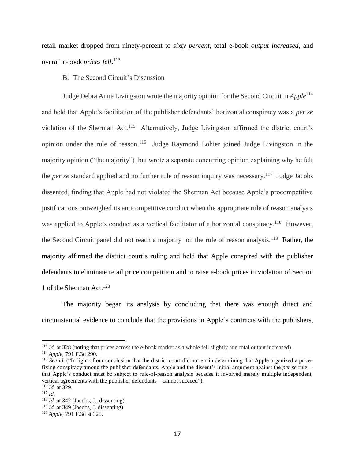retail market dropped from ninety-percent to *sixty percent*, total e-book *output increased*, and overall e-book *prices fell*. 113

B. The Second Circuit's Discussion

Judge Debra Anne Livingston wrote the majority opinion for the Second Circuit in *Apple*<sup>114</sup> and held that Apple's facilitation of the publisher defendants' horizontal conspiracy was a *per se* violation of the Sherman Act.<sup>115</sup> Alternatively, Judge Livingston affirmed the district court's opinion under the rule of reason.<sup>116</sup> Judge Raymond Lohier joined Judge Livingston in the majority opinion ("the majority"), but wrote a separate concurring opinion explaining why he felt the *per se* standard applied and no further rule of reason inquiry was necessary.<sup>117</sup> Judge Jacobs dissented, finding that Apple had not violated the Sherman Act because Apple's procompetitive justifications outweighed its anticompetitive conduct when the appropriate rule of reason analysis was applied to Apple's conduct as a vertical facilitator of a horizontal conspiracy.<sup>118</sup> However, the Second Circuit panel did not reach a majority on the rule of reason analysis.<sup>119</sup> Rather, the majority affirmed the district court's ruling and held that Apple conspired with the publisher defendants to eliminate retail price competition and to raise e-book prices in violation of Section 1 of the Sherman Act.<sup>120</sup>

The majority began its analysis by concluding that there was enough direct and circumstantial evidence to conclude that the provisions in Apple's contracts with the publishers,

<sup>113</sup> *Id.* at 328 (noting that prices across the e-book market as a whole fell slightly and total output increased). <sup>114</sup> *Apple*, 791 F.3d 290.

<sup>&</sup>lt;sup>115</sup> See *id.* ("In light of our conclusion that the district court did not err in determining that Apple organized a pricefixing conspiracy among the publisher defendants, Apple and the dissent's initial argument against the *per se* rule that Apple's conduct must be subject to rule-of-reason analysis because it involved merely multiple independent, vertical agreements with the publisher defendants—cannot succeed").

<sup>116</sup> *Id.* at 329.

<sup>117</sup> *Id.*

<sup>118</sup> *Id.* at 342 (Jacobs, J., dissenting).

<sup>119</sup> *Id.* at 349 (Jacobs, J. dissenting).

<sup>120</sup> *Apple*, 791 F.3d at 325.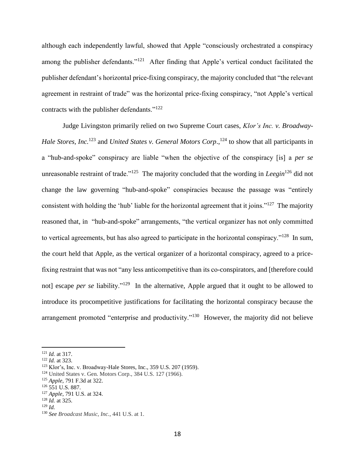although each independently lawful, showed that Apple "consciously orchestrated a conspiracy among the publisher defendants."<sup>121</sup> After finding that Apple's vertical conduct facilitated the publisher defendant's horizontal price-fixing conspiracy, the majority concluded that "the relevant agreement in restraint of trade" was the horizontal price-fixing conspiracy, "not Apple's vertical contracts with the publisher defendants."<sup>122</sup>

Judge Livingston primarily relied on two Supreme Court cases, *Klor's Inc. v. Broadway-Hale Stores, Inc.*<sup>123</sup> and *United States v. General Motors Corp*., <sup>124</sup> to show that all participants in a "hub-and-spoke" conspiracy are liable "when the objective of the conspiracy [is] a *per se* unreasonable restraint of trade."<sup>125</sup> The majority concluded that the wording in *Leegin*<sup>126</sup> did not change the law governing "hub-and-spoke" conspiracies because the passage was "entirely consistent with holding the 'hub' liable for the horizontal agreement that it joins."<sup>127</sup> The majority reasoned that, in "hub-and-spoke" arrangements, "the vertical organizer has not only committed to vertical agreements, but has also agreed to participate in the horizontal conspiracy."<sup>128</sup> In sum, the court held that Apple, as the vertical organizer of a horizontal conspiracy, agreed to a pricefixing restraint that was not "any less anticompetitive than its co-conspirators, and [therefore could not] escape *per se* liability."<sup>129</sup> In the alternative, Apple argued that it ought to be allowed to introduce its procompetitive justifications for facilitating the horizontal conspiracy because the arrangement promoted "enterprise and productivity."<sup>130</sup> However, the majority did not believe

<sup>121</sup> *Id.* at 317.

<sup>122</sup> *Id.* at 323.

<sup>123</sup> Klor's, Inc. v. Broadway-Hale Stores, Inc., 359 U.S. 207 (1959).

<sup>124</sup> United States v. Gen. Motors Corp., 384 U.S. 127 (1966).

<sup>125</sup> *Apple*, 791 F.3d at 322.

 $126\,551\,$  U.S. 887.

<sup>127</sup> *Apple*, 791 U.S. at 324.

<sup>128</sup> *Id.* at 325.

<sup>129</sup> *Id.*

<sup>130</sup> *See Broadcast Music, Inc.*, 441 U.S. at 1.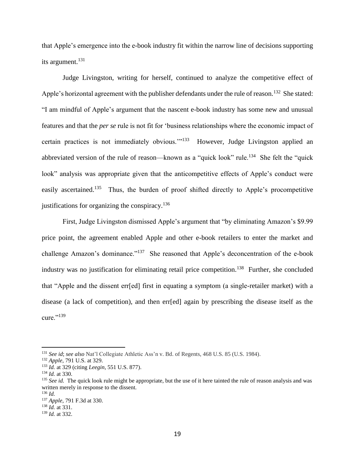that Apple's emergence into the e-book industry fit within the narrow line of decisions supporting its argument.<sup>131</sup>

Judge Livingston, writing for herself, continued to analyze the competitive effect of Apple's horizontal agreement with the publisher defendants under the rule of reason.<sup>132</sup> She stated: "I am mindful of Apple's argument that the nascent e-book industry has some new and unusual features and that the *per se* rule is not fit for 'business relationships where the economic impact of certain practices is not immediately obvious."<sup>133</sup> However, Judge Livingston applied an abbreviated version of the rule of reason—known as a "quick look" rule.<sup>134</sup> She felt the "quick look" analysis was appropriate given that the anticompetitive effects of Apple's conduct were easily ascertained.<sup>135</sup> Thus, the burden of proof shifted directly to Apple's procompetitive justifications for organizing the conspiracy. $136$ 

First, Judge Livingston dismissed Apple's argument that "by eliminating Amazon's \$9.99 price point, the agreement enabled Apple and other e-book retailers to enter the market and challenge Amazon's dominance."<sup>137</sup> She reasoned that Apple's deconcentration of the e-book industry was no justification for eliminating retail price competition.<sup>138</sup> Further, she concluded that "Apple and the dissent err[ed] first in equating a symptom (a single-retailer market) with a disease (a lack of competition), and then err[ed] again by prescribing the disease itself as the cure." $^{139}$ 

<sup>131</sup> *See id*; *see also* Nat'l Collegiate Athletic Ass'n v. Bd. of Regents, 468 U.S. 85 (U.S. 1984).

<sup>132</sup> *Apple*, 791 U.S. at 329.

<sup>133</sup> *Id.* at 329 (citing *Leegin*, 551 U.S. 877).

<sup>134</sup> *Id.* at 330.

<sup>&</sup>lt;sup>135</sup> *See id.* The quick look rule might be appropriate, but the use of it here tainted the rule of reason analysis and was written merely in response to the dissent.

<sup>136</sup> *Id.*

<sup>137</sup> *Apple*, 791 F.3d at 330.

<sup>138</sup> *Id.* at 331.

<sup>139</sup> *Id.* at 332.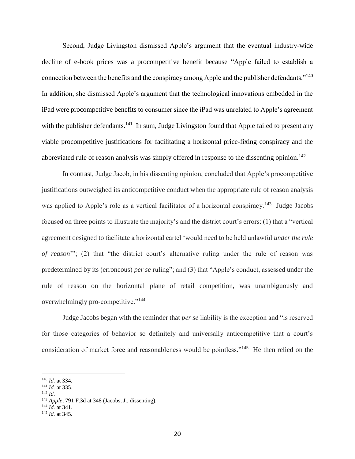Second, Judge Livingston dismissed Apple's argument that the eventual industry-wide decline of e-book prices was a procompetitive benefit because "Apple failed to establish a connection between the benefits and the conspiracy among Apple and the publisher defendants."<sup>140</sup> In addition, she dismissed Apple's argument that the technological innovations embedded in the iPad were procompetitive benefits to consumer since the iPad was unrelated to Apple's agreement with the publisher defendants.<sup>141</sup> In sum, Judge Livingston found that Apple failed to present any viable procompetitive justifications for facilitating a horizontal price-fixing conspiracy and the abbreviated rule of reason analysis was simply offered in response to the dissenting opinion.<sup>142</sup>

In contrast, Judge Jacob, in his dissenting opinion, concluded that Apple's procompetitive justifications outweighed its anticompetitive conduct when the appropriate rule of reason analysis was applied to Apple's role as a vertical facilitator of a horizontal conspiracy.<sup>143</sup> Judge Jacobs focused on three points to illustrate the majority's and the district court's errors: (1) that a "vertical agreement designed to facilitate a horizontal cartel 'would need to be held unlawful *under the rule of reason*'"; (2) that "the district court's alternative ruling under the rule of reason was predetermined by its (erroneous) *per se* ruling"; and (3) that "Apple's conduct, assessed under the rule of reason on the horizontal plane of retail competition, was unambiguously and overwhelmingly pro-competitive."<sup>144</sup>

Judge Jacobs began with the reminder that *per se* liability is the exception and "is reserved for those categories of behavior so definitely and universally anticompetitive that a court's consideration of market force and reasonableness would be pointless."<sup>145</sup> He then relied on the

- <sup>141</sup> *Id.* at 335.
- <sup>142</sup> *Id.*

 $\overline{a}$ 

<sup>144</sup> *Id.* at 341.

<sup>140</sup> *Id.* at 334.

<sup>143</sup> *Apple*, 791 F.3d at 348 (Jacobs, J., dissenting).

<sup>145</sup> *Id.* at 345.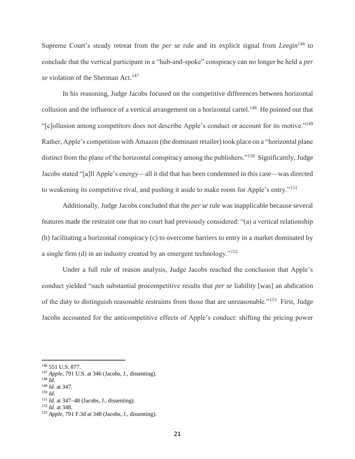Supreme Court's steady retreat from the *per se* rule and its explicit signal from *Leegin*<sup>146</sup> to conclude that the vertical participant in a "hub-and-spoke" conspiracy can no longer be held a *per se* violation of the Sherman Act.<sup>147</sup>

In his reasoning, Judge Jacobs focused on the competitive differences between horizontal collusion and the influence of a vertical arrangement on a horizontal cartel.<sup>148</sup> He pointed out that "[c]ollusion among competitors does not describe Apple's conduct or account for its motive."<sup>149</sup> Rather, Apple's competition with Amazon (the dominant retailer) took place on a "horizontal plane distinct from the plane of the horizontal conspiracy among the publishers."<sup>150</sup> Significantly, Judge Jacobs stated "[a]ll Apple's energy—all it did that has been condemned in this case—was directed to weakening its competitive rival, and pushing it aside to make room for Apple's entry."<sup>151</sup>

Additionally, Judge Jacobs concluded that the *per se* rule was inapplicable because several features made the restraint one that no court had previously considered: "(a) a vertical relationship (b) facilitating a horizontal conspiracy (c) to overcome barriers to entry in a market dominated by a single firm (d) in an industry created by an emergent technology."<sup>152</sup>

Under a full rule of reason analysis, Judge Jacobs reached the conclusion that Apple's conduct yielded "such substantial procompetitive results that *per se* liability [was] an abdication of the duty to distinguish reasonable restraints from those that are unreasonable."<sup>153</sup> First, Judge Jacobs accounted for the anticompetitive effects of Apple's conduct: shifting the pricing power

<sup>146</sup> 551 U.S. 877.

<sup>147</sup> *Apple*, 791 U.S. at 346 (Jacobs, J., dissenting).

<sup>148</sup> *Id.*

<sup>149</sup> *Id.* at 347.

<sup>150</sup> *Id.*

<sup>&</sup>lt;sup>151</sup> *Id.* at 347–48 (Jacobs, J., dissenting).

<sup>152</sup> *Id.* at 348.

<sup>153</sup> *Apple*, 791 F.3d at 348 (Jacobs, J., dissenting).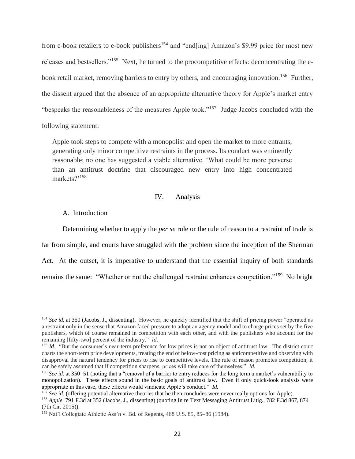from e-book retailers to e-book publishers<sup>154</sup> and "end[ing] Amazon's \$9.99 price for most new releases and bestsellers."<sup>155</sup> Next, he turned to the procompetitive effects: deconcentrating the ebook retail market, removing barriers to entry by others, and encouraging innovation.<sup>156</sup> Further, the dissent argued that the absence of an appropriate alternative theory for Apple's market entry "bespeaks the reasonableness of the measures Apple took."<sup>157</sup> Judge Jacobs concluded with the following statement:

Apple took steps to compete with a monopolist and open the market to more entrants, generating only minor competitive restraints in the process. Its conduct was eminently reasonable; no one has suggested a viable alternative. 'What could be more perverse than an antitrust doctrine that discouraged new entry into high concentrated markets?'<sup>158</sup>

#### IV. Analysis

#### A. Introduction

 $\overline{a}$ 

Determining whether to apply the *per se* rule or the rule of reason to a restraint of trade is far from simple, and courts have struggled with the problem since the inception of the Sherman Act. At the outset, it is imperative to understand that the essential inquiry of both standards remains the same: "Whether or not the challenged restraint enhances competition."<sup>159</sup> No bright

<sup>154</sup> *See id.* at 350 (Jacobs, J., dissenting). However, he quickly identified that the shift of pricing power "operated as a restraint only in the sense that Amazon faced pressure to adopt an agency model and to charge prices set by the five publishers, which of course remained in competition with each other, and with the publishers who account for the remaining [fifty-two] percent of the industry." *Id*.

<sup>&</sup>lt;sup>155</sup> *Id.* "But the consumer's near-term preference for low prices is not an object of antitrust law. The district court charts the short-term price developments, treating the end of below-cost pricing as anticompetitive and observing with disapproval the natural tendency for prices to rise to competitive levels. The rule of reason promotes competition; it can be safely assumed that if competition sharpens, prices will take care of themselves." *Id.*

<sup>&</sup>lt;sup>156</sup> See id. at 350–51 (noting that a "removal of a barrier to entry reduces for the long term a market's vulnerability to monopolization). These effects sound in the basic goals of antitrust law. Even if only quick-look analysis were appropriate in this case, these effects would vindicate Apple's conduct." *Id.*

<sup>&</sup>lt;sup>157</sup> See id. (offering potential alternative theories that he then concludes were never really options for Apple).

<sup>158</sup> *Apple*, 791 F.3d at 352 (Jacobs, J., dissenting) (quoting In re Text Messaging Antitrust Litig., 782 F.3d 867, 874 (7th Cir. 2015)).

 $159$  Nat'l Collegiate Athletic Ass'n v. Bd. of Regents, 468 U.S. 85, 85-86 (1984).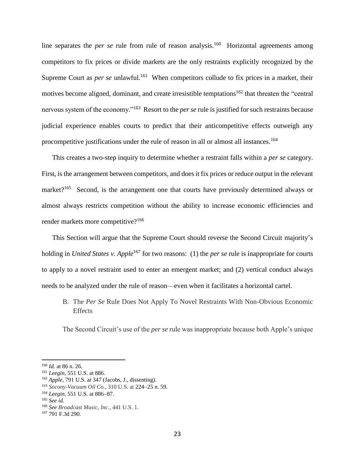line separates the *per se* rule from rule of reason analysis.<sup>160</sup> Horizontal agreements among competitors to fix prices or divide markets are the only restraints explicitly recognized by the Supreme Court as *per se* unlawful.<sup>161</sup> When competitors collude to fix prices in a market, their motives become aligned, dominant, and create irresistible temptations<sup>162</sup> that threaten the "central" nervous system of the economy."<sup>163</sup> Resort to the *per se* rule is justified for such restraints because judicial experience enables courts to predict that their anticompetitive effects outweigh any procompetitive justifications under the rule of reason in all or almost all instances.<sup>164</sup>

This creates a two-step inquiry to determine whether a restraint falls within a *per se* category. First, is the arrangement between competitors, and does it fix prices or reduce output in the relevant market?<sup>165</sup> Second, is the arrangement one that courts have previously determined always or almost always restricts competition without the ability to increase economic efficiencies and render markets more competitive?<sup>166</sup>

This Section will argue that the Supreme Court should reverse the Second Circuit majority's holding in *United States v. Apple*<sup>167</sup> for two reasons: (1) the *per se* rule is inappropriate for courts to apply to a novel restraint used to enter an emergent market; and (2) vertical conduct always needs to be analyzed under the rule of reason—even when it facilitates a horizontal cartel.

B. The *Per Se* Rule Does Not Apply To Novel Restraints With Non-Obvious Economic Effects

The Second Circuit's use of the *per se* rule was inappropriate because both Apple's unique

<sup>160</sup> *Id.* at 86 n. 26.

<sup>161</sup> *Leegin*, 551 U.S. at 886.

<sup>162</sup> *Apple*, 791 U.S. at 347 (Jacobs, J., dissenting).

<sup>&</sup>lt;sup>163</sup> *Socony-Vacuum Oil Co.*, 310 U.S. at 224–25 n. 59.

<sup>&</sup>lt;sup>164</sup> *Leegin*, 551 U.S. at 886–87.

<sup>165</sup> *See id.*

<sup>166</sup> *See Broadcast Music, Inc.*, 441 U.S. 1.

<sup>167</sup> 791 F.3d 290.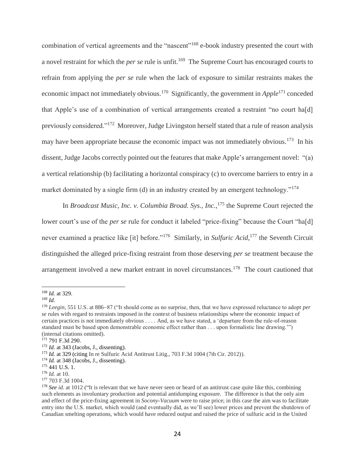combination of vertical agreements and the "nascent"<sup>168</sup> e-book industry presented the court with a novel restraint for which the *per se* rule is unfit.<sup>169</sup> The Supreme Court has encouraged courts to refrain from applying the *per se* rule when the lack of exposure to similar restraints makes the economic impact not immediately obvious.<sup>170</sup> Significantly, the government in *Apple*<sup>171</sup> conceded that Apple's use of a combination of vertical arrangements created a restraint "no court ha[d] previously considered."<sup>172</sup> Moreover, Judge Livingston herself stated that a rule of reason analysis may have been appropriate because the economic impact was not immediately obvious.<sup>173</sup> In his dissent, Judge Jacobs correctly pointed out the features that make Apple's arrangement novel: "(a) a vertical relationship (b) facilitating a horizontal conspiracy (c) to overcome barriers to entry in a market dominated by a single firm (d) in an industry created by an emergent technology."<sup>174</sup>

In *Broadcast Music, Inc. v. Columbia Broad. Sys., Inc.*, <sup>175</sup> the Supreme Court rejected the lower court's use of the *per se* rule for conduct it labeled "price-fixing" because the Court "ha[d] never examined a practice like [it] before."<sup>176</sup> Similarly, in *Sulfuric Acid*,<sup>177</sup> the Seventh Circuit distinguished the alleged price-fixing restraint from those deserving *per se* treatment because the arrangement involved a new market entrant in novel circumstances.<sup>178</sup> The court cautioned that

 $\overline{a}$ <sup>168</sup> *Id.* at 329.

<sup>169</sup> *Id.*

<sup>&</sup>lt;sup>170</sup> *Leegin*, 551 U.S. at 886–87 ("It should come as no surprise, then, that we have expressed reluctance to adopt *per se* rules with regard to restraints imposed in the context of business relationships where the economic impact of certain practices is not immediately obvious . . . . And, as we have stated, a 'departure from the rule-of-reason standard must be based upon demonstrable economic effect rather than . . . upon formalistic line drawing.'") (internal citations omitted).

<sup>171</sup> 791 F.3d 290.

<sup>172</sup> *Id.* at 343 (Jacobs, J., dissenting).

<sup>173</sup> *Id.* at 329 (citing In re Sulfuric Acid Antitrust Litig., 703 F.3d 1004 (7th Cir. 2012)).

<sup>174</sup> *Id.* at 348 (Jacobs, J., dissenting).

<sup>175</sup> 441 U.S. 1.

<sup>176</sup> *Id.* at 10.

<sup>177</sup> 703 F.3d 1004.

<sup>&</sup>lt;sup>178</sup> *See id.* at 1012 ("It is relevant that we have never seen or heard of an antitrust case quite like this, combining such elements as involuntary production and potential antidumping exposure. The difference is that the only aim and effect of the price-fixing agreement in *Socony-Vacuum* were to raise price; in this case the aim was to facilitate entry into the U.S. market, which would (and eventually did, as we'll see) lower prices and prevent the shutdown of Canadian smelting operations, which would have reduced output and raised the price of sulfuric acid in the United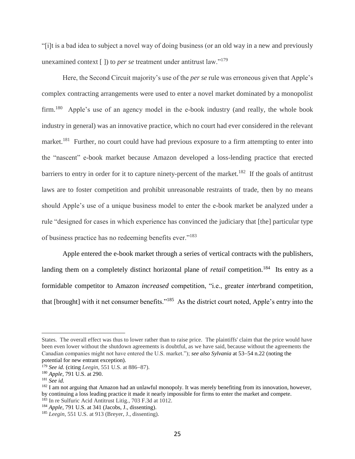"[i]t is a bad idea to subject a novel way of doing business (or an old way in a new and previously unexamined context [ ]) to *per se* treatment under antitrust law."<sup>179</sup>

Here, the Second Circuit majority's use of the *per se* rule was erroneous given that Apple's complex contracting arrangements were used to enter a novel market dominated by a monopolist firm.<sup>180</sup> Apple's use of an agency model in the e-book industry (and really, the whole book industry in general) was an innovative practice, which no court had ever considered in the relevant market.<sup>181</sup> Further, no court could have had previous exposure to a firm attempting to enter into the "nascent" e-book market because Amazon developed a loss-lending practice that erected barriers to entry in order for it to capture ninety-percent of the market.<sup>182</sup> If the goals of antitrust laws are to foster competition and prohibit unreasonable restraints of trade, then by no means should Apple's use of a unique business model to enter the e-book market be analyzed under a rule "designed for cases in which experience has convinced the judiciary that [the] particular type of business practice has no redeeming benefits ever."<sup>183</sup>

Apple entered the e-book market through a series of vertical contracts with the publishers, landing them on a completely distinct horizontal plane of *retail* competition.<sup>184</sup> Its entry as a formidable competitor to Amazon *increased* competition, "i.e., greater *inter*brand competition, that [brought] with it net consumer benefits."<sup>185</sup> As the district court noted, Apple's entry into the

States. The overall effect was thus to lower rather than to raise price. The plaintiffs' claim that the price would have been even lower without the shutdown agreements is doubtful, as we have said, because without the agreements the Canadian companies might not have entered the U.S. market."); *see also Sylvania* at 53–54 n.22 (noting the potential for new entrant exception).

<sup>&</sup>lt;sup>179</sup> *See id.* (citing *Leegin*, 551 U.S. at 886–87).

<sup>180</sup> *Apple*, 791 U.S. at 290.

<sup>181</sup> *See id.*

<sup>&</sup>lt;sup>182</sup> I am not arguing that Amazon had an unlawful monopoly. It was merely benefiting from its innovation, however, by continuing a loss leading practice it made it nearly impossible for firms to enter the market and compete.

<sup>183</sup> In re Sulfuric Acid Antitrust Litig., 703 F.3d at 1012.

<sup>184</sup> *Apple*, 791 U.S. at 341 (Jacobs, J., dissenting).

<sup>185</sup> *Leegin*, 551 U.S. at 913 (Breyer, J., dissenting).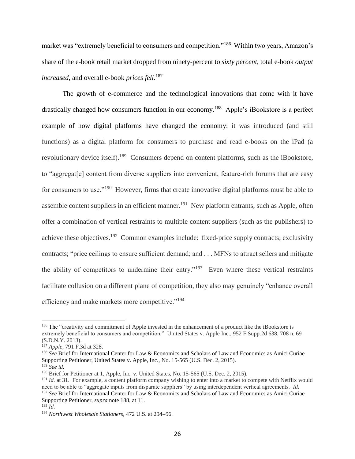market was "extremely beneficial to consumers and competition."<sup>186</sup> Within two years, Amazon's share of the e-book retail market dropped from ninety-percent to *sixty percent*, total e-book *output increased*, and overall e-book *prices fell*. 187

The growth of e-commerce and the technological innovations that come with it have drastically changed how consumers function in our economy.<sup>188</sup> Apple's iBookstore is a perfect example of how digital platforms have changed the economy: it was introduced (and still functions) as a digital platform for consumers to purchase and read e-books on the iPad (a revolutionary device itself).<sup>189</sup> Consumers depend on content platforms, such as the iBookstore, to "aggregat[e] content from diverse suppliers into convenient, feature-rich forums that are easy for consumers to use."<sup>190</sup> However, firms that create innovative digital platforms must be able to assemble content suppliers in an efficient manner.<sup>191</sup> New platform entrants, such as Apple, often offer a combination of vertical restraints to multiple content suppliers (such as the publishers) to achieve these objectives.<sup>192</sup> Common examples include: fixed-price supply contracts; exclusivity contracts; "price ceilings to ensure sufficient demand; and . . . MFNs to attract sellers and mitigate the ability of competitors to undermine their entry."<sup>193</sup> Even where these vertical restraints facilitate collusion on a different plane of competition, they also may genuinely "enhance overall efficiency and make markets more competitive."<sup>194</sup>

<sup>&</sup>lt;sup>186</sup> The "creativity and commitment of Apple invested in the enhancement of a product like the iBookstore is extremely beneficial to consumers and competition." United States v. Apple Inc., 952 F.Supp.2d 638, 708 n. 69 (S.D.N.Y. 2013).

<sup>187</sup> *Apple*, 791 F.3d at 328.

<sup>&</sup>lt;sup>188</sup> See Brief for International Center for Law & Economics and Scholars of Law and Economics as Amici Curiae Supporting Petitioner, United States v. Apple, Inc., No. 15-565 (U.S. Dec. 2, 2015).

<sup>189</sup> *See id.*

<sup>&</sup>lt;sup>190</sup> Brief for Petitioner at 1, Apple, Inc. v. United States, No. 15-565 (U.S. Dec. 2, 2015).

<sup>191</sup> *Id.* at 31. For example, a content platform company wishing to enter into a market to compete with Netflix would need to be able to "aggregate inputs from disparate suppliers" by using interdependent vertical agreements. *Id.* <sup>192</sup> *See* Brief for International Center for Law & Economics and Scholars of Law and Economics as Amici Curiae Supporting Petitioner, *supra* note 188, at 11.

<sup>193</sup> *Id.*

<sup>&</sup>lt;sup>194</sup> Northwest Wholesale Stationers, 472 U.S. at 294-96.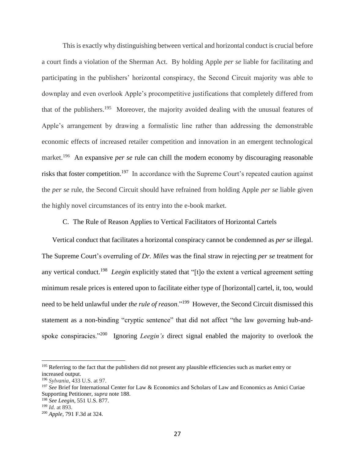This is exactly why distinguishing between vertical and horizontal conduct is crucial before a court finds a violation of the Sherman Act. By holding Apple *per se* liable for facilitating and participating in the publishers' horizontal conspiracy, the Second Circuit majority was able to downplay and even overlook Apple's procompetitive justifications that completely differed from that of the publishers.<sup>195</sup> Moreover, the majority avoided dealing with the unusual features of Apple's arrangement by drawing a formalistic line rather than addressing the demonstrable economic effects of increased retailer competition and innovation in an emergent technological market.<sup>196</sup> An expansive *per se* rule can chill the modern economy by discouraging reasonable risks that foster competition.<sup>197</sup> In accordance with the Supreme Court's repeated caution against the *per se* rule, the Second Circuit should have refrained from holding Apple *per se* liable given the highly novel circumstances of its entry into the e-book market.

C. The Rule of Reason Applies to Vertical Facilitators of Horizontal Cartels

Vertical conduct that facilitates a horizontal conspiracy cannot be condemned as *per se* illegal. The Supreme Court's overruling of *Dr. Miles* was the final straw in rejecting *per se* treatment for any vertical conduct.<sup>198</sup> Leegin explicitly stated that "[t]o the extent a vertical agreement setting minimum resale prices is entered upon to facilitate either type of [horizontal] cartel, it, too, would need to be held unlawful under *the rule of reason*."<sup>199</sup> However, the Second Circuit dismissed this statement as a non-binding "cryptic sentence" that did not affect "the law governing hub-andspoke conspiracies."<sup>200</sup> Ignoring *Leegin's* direct signal enabled the majority to overlook the

<sup>&</sup>lt;sup>195</sup> Referring to the fact that the publishers did not present any plausible efficiencies such as market entry or increased output.

<sup>196</sup> *Sylvania*, 433 U.S. at 97.

<sup>&</sup>lt;sup>197</sup> See Brief for International Center for Law & Economics and Scholars of Law and Economics as Amici Curiae Supporting Petitioner, *supra* note 188.

<sup>198</sup> *See Leegin*, 551 U.S. 877.

<sup>199</sup> *Id.* at 893.

<sup>200</sup> *Apple*, 791 F.3d at 324.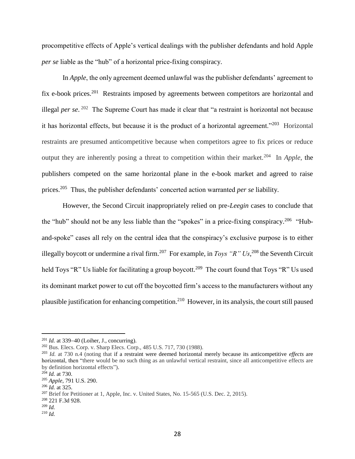procompetitive effects of Apple's vertical dealings with the publisher defendants and hold Apple *per se* liable as the "hub" of a horizontal price-fixing conspiracy.

In *Apple*, the only agreement deemed unlawful was the publisher defendants' agreement to fix e-book prices.<sup>201</sup> Restraints imposed by agreements between competitors are horizontal and illegal *per se*. 202 The Supreme Court has made it clear that "a restraint is horizontal not because it has horizontal effects, but because it is the product of a horizontal agreement."<sup>203</sup> Horizontal restraints are presumed anticompetitive because when competitors agree to fix prices or reduce output they are inherently posing a threat to competition within their market.<sup>204</sup> In *Apple*, the publishers competed on the same horizontal plane in the e-book market and agreed to raise prices.<sup>205</sup> Thus, the publisher defendants' concerted action warranted *per se* liability.

However, the Second Circuit inappropriately relied on pre-*Leegin* cases to conclude that the "hub" should not be any less liable than the "spokes" in a price-fixing conspiracy.<sup>206</sup> "Huband-spoke" cases all rely on the central idea that the conspiracy's exclusive purpose is to either illegally boycott or undermine a rival firm.<sup>207</sup> For example, in *Toys "R" Us*, <sup>208</sup> the Seventh Circuit held Toys "R" Us liable for facilitating a group boycott.<sup>209</sup> The court found that Toys "R" Us used its dominant market power to cut off the boycotted firm's access to the manufacturers without any plausible justification for enhancing competition.<sup>210</sup> However, in its analysis, the court still paused

<sup>209</sup> *Id.*

 $^{201}$  *Id.* at 339–40 (Loiher, J., concurring).

<sup>202</sup> Bus. Elecs. Corp. v. Sharp Elecs. Corp., 485 U.S. 717, 730 (1988).

<sup>203</sup> *Id.* at 730 n.4 (noting that if a restraint were deemed horizontal merely because its anticompetitive *effects* are horizontal, then "there would be no such thing as an unlawful vertical restraint, since all anticompetitive effects are by definition horizontal effects").

 $^{204}$  *Id.* at 730.

<sup>205</sup> *Apple*, 791 U.S. 290.

<sup>206</sup> *Id.* at 325.

<sup>&</sup>lt;sup>207</sup> Brief for Petitioner at 1, Apple, Inc. v. United States, No. 15-565 (U.S. Dec. 2, 2015).

<sup>208</sup> 221 F.3d 928.

<sup>210</sup> *Id.*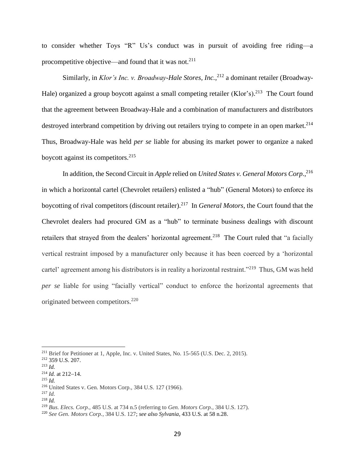to consider whether Toys "R" Us's conduct was in pursuit of avoiding free riding—a procompetitive objective—and found that it was not.<sup>211</sup>

Similarly, in *Klor's Inc. v. Broadway-Hale Stores, Inc.*,<sup>212</sup> a dominant retailer (Broadway-Hale) organized a group boycott against a small competing retailer (Klor's).<sup>213</sup> The Court found that the agreement between Broadway-Hale and a combination of manufacturers and distributors destroyed interbrand competition by driving out retailers trying to compete in an open market.<sup>214</sup> Thus, Broadway-Hale was held *per se* liable for abusing its market power to organize a naked boycott against its competitors.<sup>215</sup>

In addition, the Second Circuit in *Apple* relied on *United States v. General Motors Corp.*, 216 in which a horizontal cartel (Chevrolet retailers) enlisted a "hub" (General Motors) to enforce its boycotting of rival competitors (discount retailer). 217 In *General Motors*, the Court found that the Chevrolet dealers had procured GM as a "hub" to terminate business dealings with discount retailers that strayed from the dealers' horizontal agreement.<sup>218</sup> The Court ruled that "a facially vertical restraint imposed by a manufacturer only because it has been coerced by a 'horizontal cartel' agreement among his distributors is in reality a horizontal restraint."<sup>219</sup> Thus, GM was held *per se* liable for using "facially vertical" conduct to enforce the horizontal agreements that originated between competitors.<sup>220</sup>

<sup>211</sup> Brief for Petitioner at 1, Apple, Inc. v. United States, No. 15-565 (U.S. Dec. 2, 2015).

<sup>212</sup> 359 U.S. 207.

<sup>213</sup> *Id.*

 $^{214}$  *Id.* at 212-14.

<sup>215</sup> *Id.*

<sup>216</sup> United States v. Gen. Motors Corp., 384 U.S. 127 (1966).

<sup>217</sup> *Id.*

<sup>218</sup> *Id.*

<sup>219</sup> *Bus. Elecs. Corp.*, 485 U.S. at 734 n.5 (referring to *Gen. Motors Corp.*, 384 U.S. 127).

<sup>220</sup> *See Gen. Motors Corp.*, 384 U.S. 127; *see also Sylvania*, 433 U.S. at 58 n.28.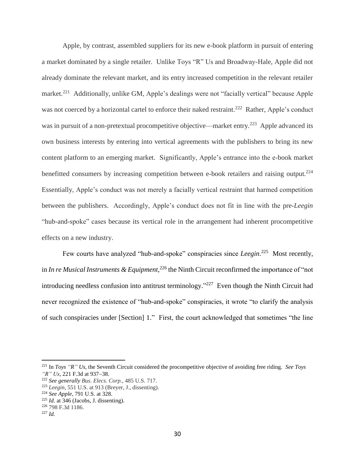Apple, by contrast, assembled suppliers for its new e-book platform in pursuit of entering a market dominated by a single retailer. Unlike Toys "R" Us and Broadway-Hale, Apple did not already dominate the relevant market, and its entry increased competition in the relevant retailer market.<sup>221</sup> Additionally, unlike GM, Apple's dealings were not "facially vertical" because Apple was not coerced by a horizontal cartel to enforce their naked restraint.<sup>222</sup> Rather, Apple's conduct was in pursuit of a non-pretextual procompetitive objective—market entry.<sup>223</sup> Apple advanced its own business interests by entering into vertical agreements with the publishers to bring its new content platform to an emerging market. Significantly, Apple's entrance into the e-book market benefitted consumers by increasing competition between e-book retailers and raising output.<sup>224</sup> Essentially, Apple's conduct was not merely a facially vertical restraint that harmed competition between the publishers. Accordingly, Apple's conduct does not fit in line with the pre-*Leegin* "hub-and-spoke" cases because its vertical role in the arrangement had inherent procompetitive effects on a new industry.

Few courts have analyzed "hub-and-spoke" conspiracies since *Leegin*.<sup>225</sup> Most recently, in *In re Musical Instruments & Equipment*, <sup>226</sup> the Ninth Circuit reconfirmed the importance of "not introducing needless confusion into antitrust terminology."<sup>227</sup> Even though the Ninth Circuit had never recognized the existence of "hub-and-spoke" conspiracies, it wrote "to clarify the analysis of such conspiracies under [Section] 1." First, the court acknowledged that sometimes "the line

<sup>221</sup> In *Toys "R" Us*, the Seventh Circuit considered the procompetitive objective of avoiding free riding. *See Toys "R" Us, 221 F.3d at 937-38.* 

<sup>222</sup> *See generally Bus. Elecs. Corp.*, 485 U.S. 717.

<sup>223</sup> *Leegin*, 551 U.S. at 913 (Breyer, J., dissenting).

<sup>224</sup> *See Apple*, 791 U.S. at 328.

 $225$  *Id.* at  $346$  (Jacobs, J. dissenting).

<sup>226</sup> 798 F.3d 1186.

<sup>227</sup> *Id.*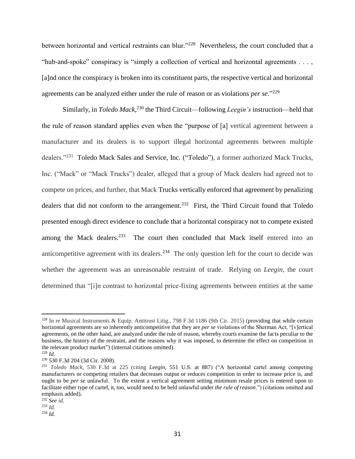between horizontal and vertical restraints can blur."<sup>228</sup> Nevertheless, the court concluded that a "hub-and-spoke" conspiracy is "simply a collection of vertical and horizontal agreements . . . , [a]nd once the conspiracy is broken into its constituent parts, the respective vertical and horizontal agreements can be analyzed either under the rule of reason or as violations *per se*."<sup>229</sup>

Similarly, in *Toledo Mack*, <sup>230</sup> the Third Circuit—following *Leegin's* instruction—held that the rule of reason standard applies even when the "purpose of [a] vertical agreement between a manufacturer and its dealers is to support illegal horizontal agreements between multiple dealers."<sup>231</sup> Toledo Mack Sales and Service, Inc. ("Toledo"), a former authorized Mack Trucks, Inc. ("Mack" or "Mack Trucks") dealer, alleged that a group of Mack dealers had agreed not to compete on prices, and further, that Mack Trucks vertically enforced that agreement by penalizing dealers that did not conform to the arrangement.<sup>232</sup> First, the Third Circuit found that Toledo presented enough direct evidence to conclude that a horizontal conspiracy not to compete existed among the Mack dealers.<sup>233</sup> The court then concluded that Mack itself entered into an anticompetitive agreement with its dealers.<sup>234</sup> The only question left for the court to decide was whether the agreement was an unreasonable restraint of trade. Relying on *Leegin*, the court determined that "[i]n contrast to horizontal price-fixing agreements between entities at the same

<sup>&</sup>lt;sup>228</sup> In re Musical Instruments & Equip. Antitrust Litig., 798 F.3d 1186 (9th Cir. 2015) (providing that while certain horizontal agreements are so inherently anticompetitive that they are *per se* violations of the Sherman Act, "[v]ertical agreements, on the other hand, are analyzed under the rule of reason, whereby courts examine the facts peculiar to the business, the history of the restraint, and the reasons why it was imposed, to determine the effect on competition in the relevant product market") (internal citations omitted).

<sup>229</sup> *Id.*

<sup>230</sup> 530 F.3d 204 (3d Cir. 2008).

<sup>231</sup> *Toledo Mack*, 530 F.3d at 225 (citing *Leegin*, 551 U.S. at 887) ("A horizontal cartel among competing manufacturers or competing retailers that decreases output or reduces competition in order to increase price is, and ought to be *per se* unlawful. To the extent a vertical agreement setting minimum resale prices is entered upon to facilitate either type of cartel, it, too, would need to be held unlawful under *the rule of reason*.") (citations omitted and emphasis added).

<sup>232</sup> *See id.*

<sup>233</sup> *Id.*

<sup>234</sup> *Id.*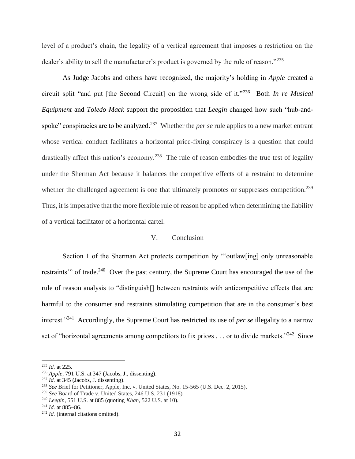level of a product's chain, the legality of a vertical agreement that imposes a restriction on the dealer's ability to sell the manufacturer's product is governed by the rule of reason."<sup>235</sup>

As Judge Jacobs and others have recognized, the majority's holding in *Apple* created a circuit split "and put [the Second Circuit] on the wrong side of it."<sup>236</sup> Both *In re Musical Equipment* and *Toledo Mack* support the proposition that *Leegin* changed how such "hub-andspoke" conspiracies are to be analyzed.<sup>237</sup> Whether the *per se* rule applies to a new market entrant whose vertical conduct facilitates a horizontal price-fixing conspiracy is a question that could drastically affect this nation's economy.<sup>238</sup> The rule of reason embodies the true test of legality under the Sherman Act because it balances the competitive effects of a restraint to determine whether the challenged agreement is one that ultimately promotes or suppresses competition.<sup>239</sup> Thus, it is imperative that the more flexible rule of reason be applied when determining the liability of a vertical facilitator of a horizontal cartel.

#### V. Conclusion

Section 1 of the Sherman Act protects competition by "'outlaw[ing] only unreasonable restraints" of trade.<sup>240</sup> Over the past century, the Supreme Court has encouraged the use of the rule of reason analysis to "distinguish[] between restraints with anticompetitive effects that are harmful to the consumer and restraints stimulating competition that are in the consumer's best interest."<sup>241</sup> Accordingly, the Supreme Court has restricted its use of *per se* illegality to a narrow set of "horizontal agreements among competitors to fix prices . . . or to divide markets."<sup>242</sup> Since

<sup>235</sup> *Id.* at 225.

<sup>236</sup> *Apple*, 791 U.S. at 347 (Jacobs, J., dissenting).

<sup>237</sup> *Id.* at 345 (Jacobs, J. dissenting).

<sup>238</sup> *See* Brief for Petitioner, Apple, Inc. v. United States, No. 15-565 (U.S. Dec. 2, 2015).

<sup>239</sup> *See* Board of Trade v. United States, 246 U.S. 231 (1918).

<sup>240</sup> *Leegin*, 551 U.S. at 885 (quoting *Khan*, 522 U.S. at 10).

 $^{241}$  *Id.* at 885–86.

<sup>242</sup> *Id.* (internal citations omitted).